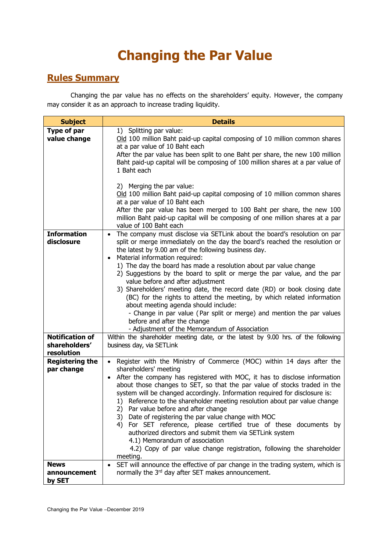## **Changing the Par Value**

## **Rules Summary**

Changing the par value has no effects on the shareholders' equity. However, the company may consider it as an approach to increase trading liquidity.

| <b>Subject</b>                                             | <b>Details</b>                                                                                                                                                                                                                                                                                                                                                                                                                                                                                                                                                                                                                                                                                                                                                                                                                                                                                                 |
|------------------------------------------------------------|----------------------------------------------------------------------------------------------------------------------------------------------------------------------------------------------------------------------------------------------------------------------------------------------------------------------------------------------------------------------------------------------------------------------------------------------------------------------------------------------------------------------------------------------------------------------------------------------------------------------------------------------------------------------------------------------------------------------------------------------------------------------------------------------------------------------------------------------------------------------------------------------------------------|
| Type of par<br>value change                                | 1) Splitting par value:<br>Old 100 million Baht paid-up capital composing of 10 million common shares<br>at a par value of 10 Baht each<br>After the par value has been split to one Baht per share, the new 100 million<br>Baht paid-up capital will be composing of 100 million shares at a par value of<br>1 Baht each<br>2) Merging the par value:<br>Old 100 million Baht paid-up capital composing of 10 million common shares<br>at a par value of 10 Baht each<br>After the par value has been merged to 100 Baht per share, the new 100<br>million Baht paid-up capital will be composing of one million shares at a par<br>value of 100 Baht each                                                                                                                                                                                                                                                    |
| <b>Information</b><br>disclosure<br><b>Notification of</b> | The company must disclose via SETLink about the board's resolution on par<br>$\bullet$<br>split or merge immediately on the day the board's reached the resolution or<br>the latest by 9.00 am of the following business day.<br>Material information required:<br>$\bullet$<br>1) The day the board has made a resolution about par value change<br>2) Suggestions by the board to split or merge the par value, and the par<br>value before and after adjustment<br>3) Shareholders' meeting date, the record date (RD) or book closing date<br>(BC) for the rights to attend the meeting, by which related information<br>about meeting agenda should include:<br>- Change in par value (Par split or merge) and mention the par values<br>before and after the change<br>- Adjustment of the Memorandum of Association<br>Within the shareholder meeting date, or the latest by 9.00 hrs. of the following |
| shareholders'<br>resolution                                | business day, via SETLink                                                                                                                                                                                                                                                                                                                                                                                                                                                                                                                                                                                                                                                                                                                                                                                                                                                                                      |
| <b>Registering the</b><br>par change                       | Register with the Ministry of Commerce (MOC) within 14 days after the<br>$\bullet$<br>shareholders' meeting<br>After the company has registered with MOC, it has to disclose information<br>$\bullet$<br>about those changes to SET, so that the par value of stocks traded in the<br>system will be changed accordingly. Information required for disclosure is:<br>1) Reference to the shareholder meeting resolution about par value change<br>2) Par value before and after change<br>3) Date of registering the par value change with MOC<br>For SET reference, please certified true of these documents by<br>4)<br>authorized directors and submit them via SETLink system<br>4.1) Memorandum of association<br>4.2) Copy of par value change registration, following the shareholder<br>meeting.                                                                                                       |
| <b>News</b><br>announcement<br>by SET                      | SET will announce the effective of par change in the trading system, which is<br>$\bullet$<br>normally the 3rd day after SET makes announcement.                                                                                                                                                                                                                                                                                                                                                                                                                                                                                                                                                                                                                                                                                                                                                               |